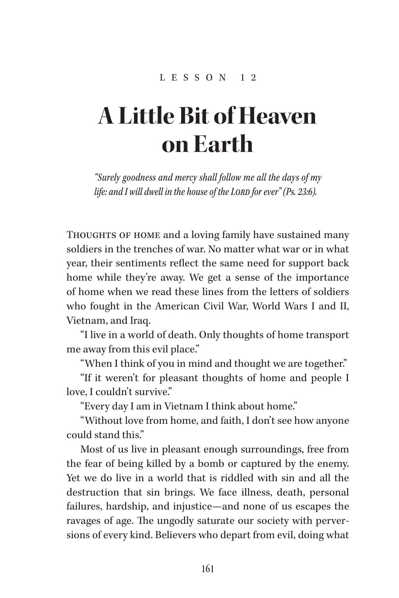# **A Little Bit of Heaven on Earth**

*"Surely goodness and mercy shall follow me all the days of my*  life: and I will dwell in the house of the LORD for ever" (Ps. 23:6).

THOUGHTS OF HOME and a loving family have sustained many soldiers in the trenches of war. No matter what war or in what year, their sentiments reflect the same need for support back home while they're away. We get a sense of the importance of home when we read these lines from the letters of soldiers who fought in the American Civil War, World Wars I and II, Vietnam, and Iraq.

"I live in a world of death. Only thoughts of home transport me away from this evil place."

"When I think of you in mind and thought we are together."

"If it weren't for pleasant thoughts of home and people I love, I couldn't survive."

"Every day I am in Vietnam I think about home."

"Without love from home, and faith, I don't see how anyone could stand this."

Most of us live in pleasant enough surroundings, free from the fear of being killed by a bomb or captured by the enemy. Yet we do live in a world that is riddled with sin and all the destruction that sin brings. We face illness, death, personal failures, hardship, and injustice—and none of us escapes the ravages of age. The ungodly saturate our society with perversions of every kind. Believers who depart from evil, doing what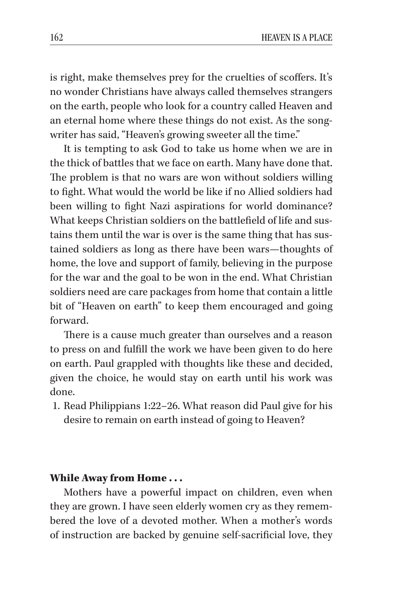is right, make themselves prey for the cruelties of scoffers. It's no wonder Christians have always called themselves strangers on the earth, people who look for a country called Heaven and an eternal home where these things do not exist. As the songwriter has said, "Heaven's growing sweeter all the time."

It is tempting to ask God to take us home when we are in the thick of battles that we face on earth. Many have done that. The problem is that no wars are won without soldiers willing to fight. What would the world be like if no Allied soldiers had been willing to fight Nazi aspirations for world dominance? What keeps Christian soldiers on the battlefield of life and sustains them until the war is over is the same thing that has sustained soldiers as long as there have been wars—thoughts of home, the love and support of family, believing in the purpose for the war and the goal to be won in the end. What Christian soldiers need are care packages from home that contain a little bit of "Heaven on earth" to keep them encouraged and going forward.

There is a cause much greater than ourselves and a reason to press on and fulfill the work we have been given to do here on earth. Paul grappled with thoughts like these and decided, given the choice, he would stay on earth until his work was done.

1. Read Philippians 1:22–26. What reason did Paul give for his desire to remain on earth instead of going to Heaven?

## While Away from Home . . .

Mothers have a powerful impact on children, even when they are grown. I have seen elderly women cry as they remembered the love of a devoted mother. When a mother's words of instruction are backed by genuine self-sacrificial love, they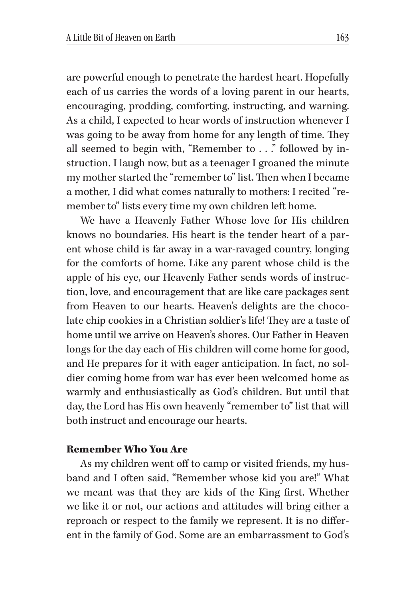are powerful enough to penetrate the hardest heart. Hopefully each of us carries the words of a loving parent in our hearts, encouraging, prodding, comforting, instructing, and warning. As a child, I expected to hear words of instruction whenever I was going to be away from home for any length of time. They all seemed to begin with, "Remember to . . ." followed by instruction. I laugh now, but as a teenager I groaned the minute my mother started the "remember to" list. Then when I became a mother, I did what comes naturally to mothers: I recited "remember to" lists every time my own children left home.

We have a Heavenly Father Whose love for His children knows no boundaries. His heart is the tender heart of a parent whose child is far away in a war-ravaged country, longing for the comforts of home. Like any parent whose child is the apple of his eye, our Heavenly Father sends words of instruction, love, and encouragement that are like care packages sent from Heaven to our hearts. Heaven's delights are the chocolate chip cookies in a Christian soldier's life! They are a taste of home until we arrive on Heaven's shores. Our Father in Heaven longs for the day each of His children will come home for good, and He prepares for it with eager anticipation. In fact, no soldier coming home from war has ever been welcomed home as warmly and enthusiastically as God's children. But until that day, the Lord has His own heavenly "remember to" list that will both instruct and encourage our hearts.

## Remember Who You Are

As my children went off to camp or visited friends, my husband and I often said, "Remember whose kid you are!" What we meant was that they are kids of the King first. Whether we like it or not, our actions and attitudes will bring either a reproach or respect to the family we represent. It is no different in the family of God. Some are an embarrassment to God's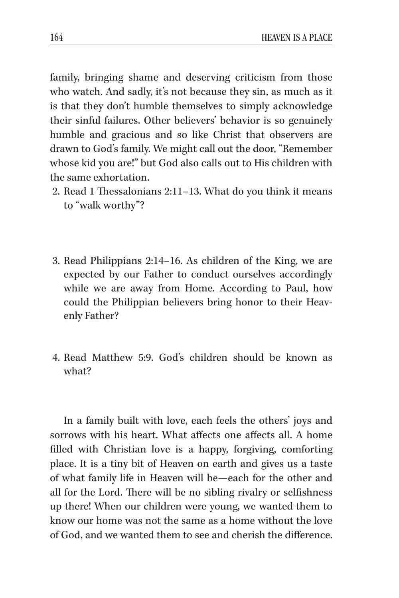family, bringing shame and deserving criticism from those who watch. And sadly, it's not because they sin, as much as it is that they don't humble themselves to simply acknowledge their sinful failures. Other believers' behavior is so genuinely humble and gracious and so like Christ that observers are drawn to God's family. We might call out the door, "Remember whose kid you are!" but God also calls out to His children with the same exhortation.

- 2. Read 1 Thessalonians 2:11–13. What do you think it means to "walk worthy"?
- 3. Read Philippians 2:14–16. As children of the King, we are expected by our Father to conduct ourselves accordingly while we are away from Home. According to Paul, how could the Philippian believers bring honor to their Heavenly Father?
- 4. Read Matthew 5:9. God's children should be known as what?

In a family built with love, each feels the others' joys and sorrows with his heart. What affects one affects all. A home filled with Christian love is a happy, forgiving, comforting place. It is a tiny bit of Heaven on earth and gives us a taste of what family life in Heaven will be—each for the other and all for the Lord. There will be no sibling rivalry or selfishness up there! When our children were young, we wanted them to know our home was not the same as a home without the love of God, and we wanted them to see and cherish the difference.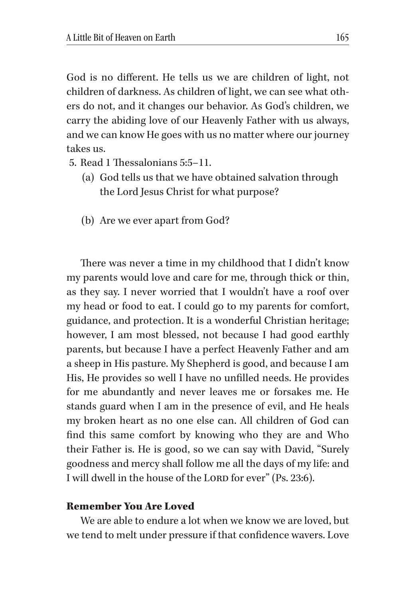God is no different. He tells us we are children of light, not children of darkness. As children of light, we can see what others do not, and it changes our behavior. As God's children, we carry the abiding love of our Heavenly Father with us always, and we can know He goes with us no matter where our journey takes us.

- 5. Read 1 Thessalonians 5:5–11.
	- (a) God tells us that we have obtained salvation through the Lord Jesus Christ for what purpose?
	- (b) Are we ever apart from God?

There was never a time in my childhood that I didn't know my parents would love and care for me, through thick or thin, as they say. I never worried that I wouldn't have a roof over my head or food to eat. I could go to my parents for comfort, guidance, and protection. It is a wonderful Christian heritage; however, I am most blessed, not because I had good earthly parents, but because I have a perfect Heavenly Father and am a sheep in His pasture. My Shepherd is good, and because I am His, He provides so well I have no unfilled needs. He provides for me abundantly and never leaves me or forsakes me. He stands guard when I am in the presence of evil, and He heals my broken heart as no one else can. All children of God can find this same comfort by knowing who they are and Who their Father is. He is good, so we can say with David, "Surely goodness and mercy shall follow me all the days of my life: and I will dwell in the house of the LORD for ever" (Ps. 23:6).

# Remember You Are Loved

We are able to endure a lot when we know we are loved, but we tend to melt under pressure if that confidence wavers. Love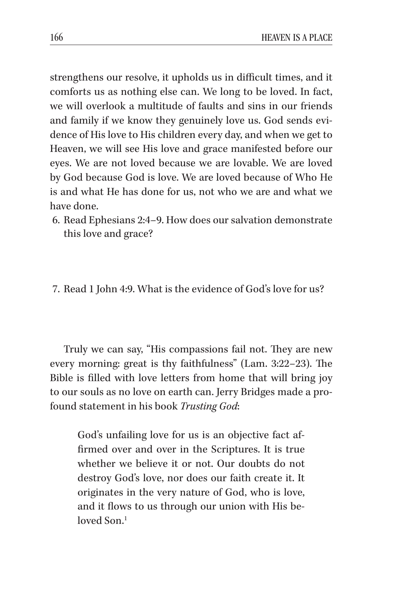strengthens our resolve, it upholds us in difficult times, and it comforts us as nothing else can. We long to be loved. In fact, we will overlook a multitude of faults and sins in our friends and family if we know they genuinely love us. God sends evidence of His love to His children every day, and when we get to Heaven, we will see His love and grace manifested before our eyes. We are not loved because we are lovable. We are loved by God because God is love. We are loved because of Who He is and what He has done for us, not who we are and what we have done.

- 6. Read Ephesians 2:4–9. How does our salvation demonstrate this love and grace?
- 7. Read 1 John 4:9. What is the evidence of God's love for us?

Truly we can say, "His compassions fail not. They are new every morning: great is thy faithfulness" (Lam. 3:22–23). The Bible is filled with love letters from home that will bring joy to our souls as no love on earth can. Jerry Bridges made a profound statement in his book *Trusting God*:

God's unfailing love for us is an objective fact affirmed over and over in the Scriptures. It is true whether we believe it or not. Our doubts do not destroy God's love, nor does our faith create it. It originates in the very nature of God, who is love, and it flows to us through our union with His beloved Son.<sup>1</sup>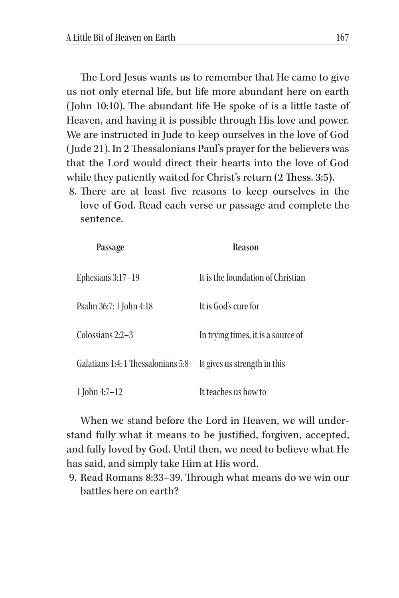The Lord Jesus wants us to remember that He came to give us not only eternal life, but life more abundant here on earth (John 10:10). The abundant life He spoke of is a little taste of Heaven, and having it is possible through His love and power. We are instructed in Jude to keep ourselves in the love of God (Jude 21). In 2 Thessalonians Paul's prayer for the believers was that the Lord would direct their hearts into the love of God while they patiently waited for Christ's return (2 Thess. 3:5).

8. There are at least five reasons to keep ourselves in the love of God. Read each verse or passage and complete the sentence.

| Passage                            | Reason                             |
|------------------------------------|------------------------------------|
| Ephesians 3:17-19                  | It is the foundation of Christian  |
| Psalm 36:7; 1 John 4:18            | It is God's cure for               |
| Colossians 2:2-3                   | In trying times, it is a source of |
| Galatians 1:4; 1 Thessalonians 5:8 | It gives us strength in this       |
| 1 John 4:7-12                      | It teaches us how to               |

When we stand before the Lord in Heaven, we will understand fully what it means to be justified, forgiven, accepted, and fully loved by God. Until then, we need to believe what He has said, and simply take Him at His word.

9. Read Romans 8:33–39. Through what means do we win our battles here on earth?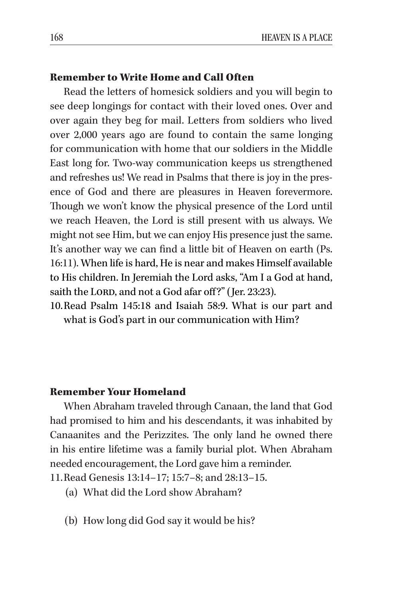# Remember to Write Home and Call Often

Read the letters of homesick soldiers and you will begin to see deep longings for contact with their loved ones. Over and over again they beg for mail. Letters from soldiers who lived over 2,000 years ago are found to contain the same longing for communication with home that our soldiers in the Middle East long for. Two-way communication keeps us strengthened and refreshes us! We read in Psalms that there is joy in the presence of God and there are pleasures in Heaven forevermore. Though we won't know the physical presence of the Lord until we reach Heaven, the Lord is still present with us always. We might not see Him, but we can enjoy His presence just the same. It's another way we can find a little bit of Heaven on earth (Ps. 16:11). When life is hard, He is near and makes Himself available to His children. In Jeremiah the Lord asks, "Am I a God at hand, saith the LORD, and not a God afar off?" (Jer. 23:23).

10.Read Psalm 145:18 and Isaiah 58:9. What is our part and what is God's part in our communication with Him?

#### Remember Your Homeland

When Abraham traveled through Canaan, the land that God had promised to him and his descendants, it was inhabited by Canaanites and the Perizzites. The only land he owned there in his entire lifetime was a family burial plot. When Abraham needed encouragement, the Lord gave him a reminder.

11.Read Genesis 13:14–17; 15:7–8; and 28:13–15.

- (a) What did the Lord show Abraham?
- (b) How long did God say it would be his?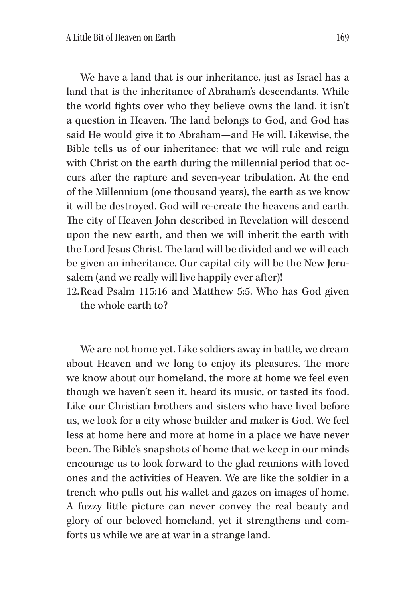We have a land that is our inheritance, just as Israel has a land that is the inheritance of Abraham's descendants. While the world fights over who they believe owns the land, it isn't a question in Heaven. The land belongs to God, and God has said He would give it to Abraham—and He will. Likewise, the Bible tells us of our inheritance: that we will rule and reign with Christ on the earth during the millennial period that occurs after the rapture and seven-year tribulation. At the end of the Millennium (one thousand years), the earth as we know it will be destroyed. God will re-create the heavens and earth. The city of Heaven John described in Revelation will descend upon the new earth, and then we will inherit the earth with the Lord Jesus Christ. The land will be divided and we will each be given an inheritance. Our capital city will be the New Jerusalem (and we really will live happily ever after)!

12.Read Psalm 115:16 and Matthew 5:5. Who has God given the whole earth to?

We are not home yet. Like soldiers away in battle, we dream about Heaven and we long to enjoy its pleasures. The more we know about our homeland, the more at home we feel even though we haven't seen it, heard its music, or tasted its food. Like our Christian brothers and sisters who have lived before us, we look for a city whose builder and maker is God. We feel less at home here and more at home in a place we have never been. The Bible's snapshots of home that we keep in our minds encourage us to look forward to the glad reunions with loved ones and the activities of Heaven. We are like the soldier in a trench who pulls out his wallet and gazes on images of home. A fuzzy little picture can never convey the real beauty and glory of our beloved homeland, yet it strengthens and comforts us while we are at war in a strange land.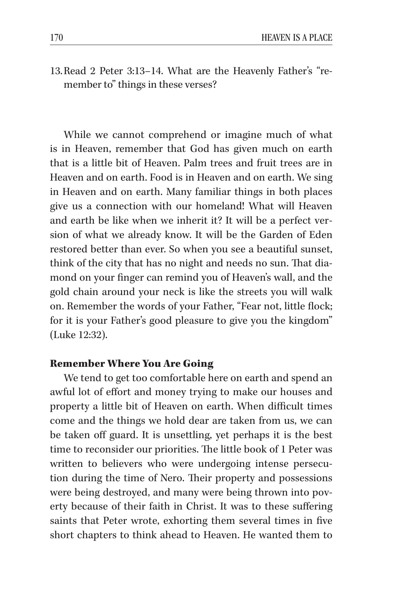13.Read 2 Peter 3:13–14. What are the Heavenly Father's "remember to" things in these verses?

While we cannot comprehend or imagine much of what is in Heaven, remember that God has given much on earth that is a little bit of Heaven. Palm trees and fruit trees are in Heaven and on earth. Food is in Heaven and on earth. We sing in Heaven and on earth. Many familiar things in both places give us a connection with our homeland! What will Heaven and earth be like when we inherit it? It will be a perfect version of what we already know. It will be the Garden of Eden restored better than ever. So when you see a beautiful sunset, think of the city that has no night and needs no sun. That diamond on your finger can remind you of Heaven's wall, and the gold chain around your neck is like the streets you will walk on. Remember the words of your Father, "Fear not, little flock; for it is your Father's good pleasure to give you the kingdom" (Luke 12:32).

#### Remember Where You Are Going

We tend to get too comfortable here on earth and spend an awful lot of effort and money trying to make our houses and property a little bit of Heaven on earth. When difficult times come and the things we hold dear are taken from us, we can be taken off guard. It is unsettling, yet perhaps it is the best time to reconsider our priorities. The little book of 1 Peter was written to believers who were undergoing intense persecution during the time of Nero. Their property and possessions were being destroyed, and many were being thrown into poverty because of their faith in Christ. It was to these suffering saints that Peter wrote, exhorting them several times in five short chapters to think ahead to Heaven. He wanted them to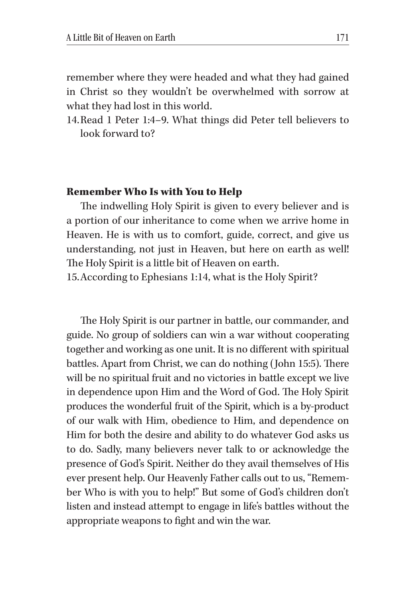remember where they were headed and what they had gained in Christ so they wouldn't be overwhelmed with sorrow at what they had lost in this world.

14.Read 1 Peter 1:4–9. What things did Peter tell believers to look forward to?

#### Remember Who Is with You to Help

The indwelling Holy Spirit is given to every believer and is a portion of our inheritance to come when we arrive home in Heaven. He is with us to comfort, guide, correct, and give us understanding, not just in Heaven, but here on earth as well! The Holy Spirit is a little bit of Heaven on earth.

15.According to Ephesians 1:14, what is the Holy Spirit?

The Holy Spirit is our partner in battle, our commander, and guide. No group of soldiers can win a war without cooperating together and working as one unit. It is no different with spiritual battles. Apart from Christ, we can do nothing (John 15:5). There will be no spiritual fruit and no victories in battle except we live in dependence upon Him and the Word of God. The Holy Spirit produces the wonderful fruit of the Spirit, which is a by-product of our walk with Him, obedience to Him, and dependence on Him for both the desire and ability to do whatever God asks us to do. Sadly, many believers never talk to or acknowledge the presence of God's Spirit. Neither do they avail themselves of His ever present help. Our Heavenly Father calls out to us, "Remember Who is with you to help!" But some of God's children don't listen and instead attempt to engage in life's battles without the appropriate weapons to fight and win the war.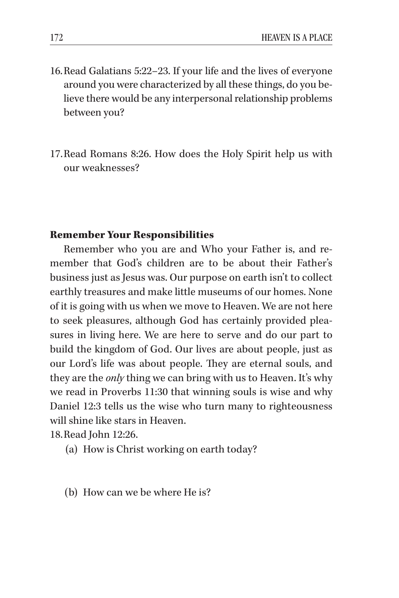- 16.Read Galatians 5:22–23. If your life and the lives of everyone around you were characterized by all these things, do you believe there would be any interpersonal relationship problems between you?
- 17.Read Romans 8:26. How does the Holy Spirit help us with our weaknesses?

## Remember Your Responsibilities

Remember who you are and Who your Father is, and remember that God's children are to be about their Father's business just as Jesus was. Our purpose on earth isn't to collect earthly treasures and make little museums of our homes. None of it is going with us when we move to Heaven. We are not here to seek pleasures, although God has certainly provided pleasures in living here. We are here to serve and do our part to build the kingdom of God. Our lives are about people, just as our Lord's life was about people. They are eternal souls, and they are the *only* thing we can bring with us to Heaven. It's why we read in Proverbs 11:30 that winning souls is wise and why Daniel 12:3 tells us the wise who turn many to righteousness will shine like stars in Heaven.

18.Read John 12:26.

- (a) How is Christ working on earth today?
- (b) How can we be where He is?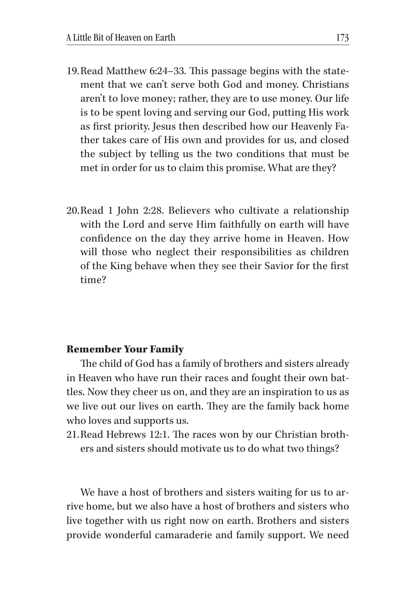- 19.Read Matthew 6:24–33. This passage begins with the statement that we can't serve both God and money. Christians aren't to love money; rather, they are to use money. Our life is to be spent loving and serving our God, putting His work as first priority. Jesus then described how our Heavenly Father takes care of His own and provides for us, and closed the subject by telling us the two conditions that must be met in order for us to claim this promise. What are they?
- 20.Read 1 John 2:28. Believers who cultivate a relationship with the Lord and serve Him faithfully on earth will have confidence on the day they arrive home in Heaven. How will those who neglect their responsibilities as children of the King behave when they see their Savior for the first time?

## Remember Your Family

The child of God has a family of brothers and sisters already in Heaven who have run their races and fought their own battles. Now they cheer us on, and they are an inspiration to us as we live out our lives on earth. They are the family back home who loves and supports us.

21.Read Hebrews 12:1. The races won by our Christian brothers and sisters should motivate us to do what two things?

We have a host of brothers and sisters waiting for us to arrive home, but we also have a host of brothers and sisters who live together with us right now on earth. Brothers and sisters provide wonderful camaraderie and family support. We need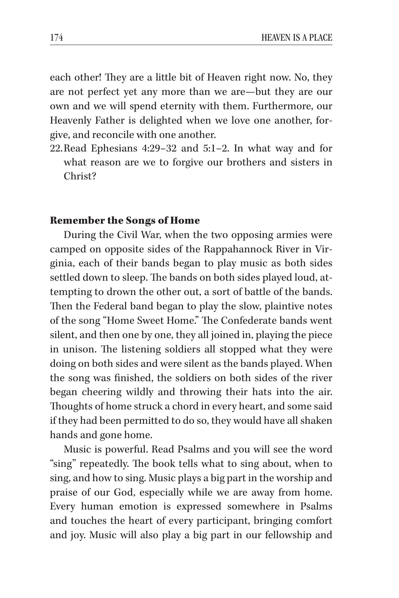each other! They are a little bit of Heaven right now. No, they are not perfect yet any more than we are—but they are our own and we will spend eternity with them. Furthermore, our Heavenly Father is delighted when we love one another, forgive, and reconcile with one another.

22.Read Ephesians 4:29–32 and 5:1–2. In what way and for what reason are we to forgive our brothers and sisters in Christ?

# Remember the Songs of Home

During the Civil War, when the two opposing armies were camped on opposite sides of the Rappahannock River in Virginia, each of their bands began to play music as both sides settled down to sleep. The bands on both sides played loud, attempting to drown the other out, a sort of battle of the bands. Then the Federal band began to play the slow, plaintive notes of the song "Home Sweet Home." The Confederate bands went silent, and then one by one, they all joined in, playing the piece in unison. The listening soldiers all stopped what they were doing on both sides and were silent as the bands played. When the song was finished, the soldiers on both sides of the river began cheering wildly and throwing their hats into the air. Thoughts of home struck a chord in every heart, and some said if they had been permitted to do so, they would have all shaken hands and gone home.

Music is powerful. Read Psalms and you will see the word "sing" repeatedly. The book tells what to sing about, when to sing, and how to sing. Music plays a big part in the worship and praise of our God, especially while we are away from home. Every human emotion is expressed somewhere in Psalms and touches the heart of every participant, bringing comfort and joy. Music will also play a big part in our fellowship and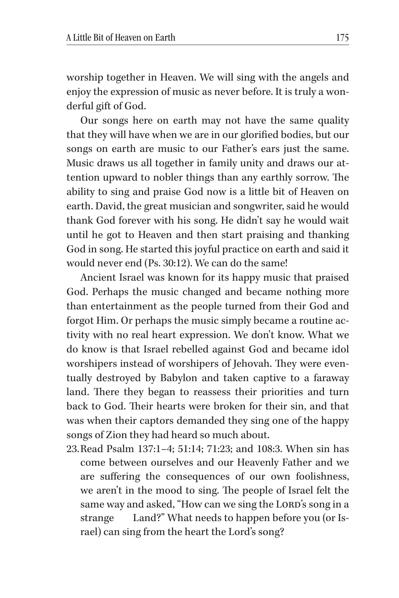worship together in Heaven. We will sing with the angels and enjoy the expression of music as never before. It is truly a wonderful gift of God.

Our songs here on earth may not have the same quality that they will have when we are in our glorified bodies, but our songs on earth are music to our Father's ears just the same. Music draws us all together in family unity and draws our attention upward to nobler things than any earthly sorrow. The ability to sing and praise God now is a little bit of Heaven on earth. David, the great musician and songwriter, said he would thank God forever with his song. He didn't say he would wait until he got to Heaven and then start praising and thanking God in song. He started this joyful practice on earth and said it would never end (Ps. 30:12). We can do the same!

Ancient Israel was known for its happy music that praised God. Perhaps the music changed and became nothing more than entertainment as the people turned from their God and forgot Him. Or perhaps the music simply became a routine activity with no real heart expression. We don't know. What we do know is that Israel rebelled against God and became idol worshipers instead of worshipers of Jehovah. They were eventually destroyed by Babylon and taken captive to a faraway land. There they began to reassess their priorities and turn back to God. Their hearts were broken for their sin, and that was when their captors demanded they sing one of the happy songs of Zion they had heard so much about.

23.Read Psalm 137:1–4; 51:14; 71:23; and 108:3. When sin has come between ourselves and our Heavenly Father and we are suffering the consequences of our own foolishness, we aren't in the mood to sing. The people of Israel felt the same way and asked, "How can we sing the LORD's song in a strange Land?" What needs to happen before you (or Israel) can sing from the heart the Lord's song?